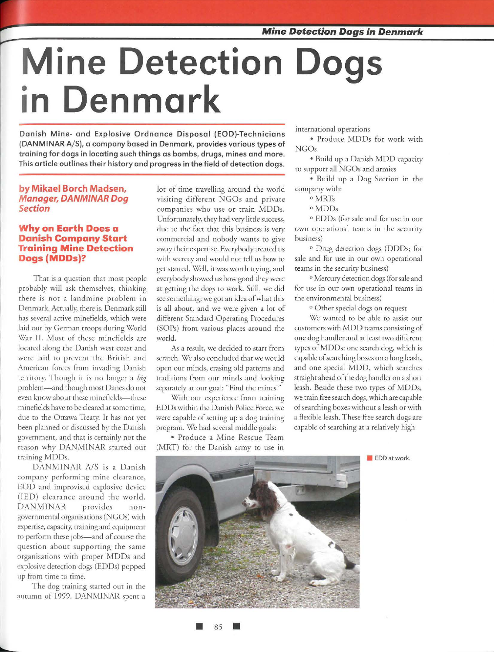# **Mine Detection Dogs in Denmark**

**Danish Mine- and Explosive Ordnance Disposal (EOD)-Technicians (DAN MINAR A/ S), a company based in Denmark, provides various types of training for dogs in locating such things as bombs, drugs, mines and more. This article outlines their history and progress in the field of detection dogs.** 

#### **by Mikael Borch Madsen, Manager, DANMINAR Dog Section**

#### **Why on Earth Does a Danish Company Start Training Mine Detection Dogs (MDDs)?**

That is a question that most people probably will ask themselves, thinking there is not a landmine problem in Denmark. Actually, there is. Denmark still has several active minefields, which were laid out by German troops during World War II. Most of these minefields are located along the Danish west coast and were laid to prevent the British and American forces from invading Danish territory. Though it is no longer a *big*  problem-and though most Danes do not even know about these minefields-these mineflelds have to be cleared at some time, due to the Ottawa Treaty. It has not *yet*  been planned or discussed by the Danish government, and that is certainly nor the reason why DANMINAR started our training MODs.

DANMINAR A/S is a Danish company performing mine clearance, EOD and improvised explosive device (IED) clearance around the world. DANMINAR provides nongovernmental organisations (NGOs) with expertise, capacity, training and equipment to perform these jobs-and of course the question about supporting the same organisations with proper MODs and explosive detection dogs (EDDs) popped up from rime to rime.

The dog training started out in the autumn of 1999. DANMJNAR spent a

lot of time travelling around the world visiting different NGOs and private companies who use or train MODs. Unfortunately, they had very little success, due to the fact that this business is *very*  commercial and nobody wants to give away their expertise. Everybody treated us with secrecy and would not tell us how to get started. Well, it was worth trying, and everybody showed us how good they were at getting the dogs to work. Still, we did *see* something; we got an idea of what this is all about, and we were given a lot of different Standard Operating Procedures (SOPs) from various places around the world.

As a result, we decided to start from scratch. We also concluded that we would open our minds, erasing old patterns and traditions from our minds and looking separately at our goal: "Find the mines!"

With our experience from training EDDs within the Danish Police Force, we were capable of setting up a dog training program. We had several middle goals:

• Produce a Mine Rescue Team (MRT) for the Danish army to use in

• 85

international operations

• Produce MODs for work with NGOs

• Build up a Danish MOD capacity to support all NGOs and armies

• Build up a Dog Section in the company with:

<sup>0</sup> MRTs

oMDDs

<sup>0</sup>EDDs (for sale and for use in our own operational teams in the security business)

<sup>o</sup> Drug detection dogs (DDDs; for sale and for use in our own operational teams in the security business)

0 Mercury detection dogs (for sale and for use in our own operational reams in the environmental business)

<sup>o</sup> Other special dogs on request

We wanted to be able to assist our customers with MOD reams consisting of one dog handler and at least two different types of MODs: one search dog, which is capable of searching boxes on a long leash, and one special MOD, which searches straight ahead of the dog handler on a short leash. Beside these two types of MODs, we train free search dogs, which are capable of searching boxes without a leash or with a flexible leash. These free search dogs are capable of searching at a relatively high

**EDD** at work.

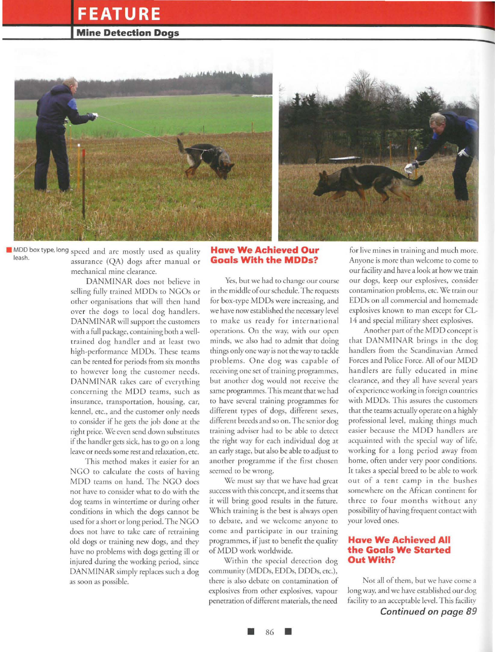### **FEATURE**

#### **Mine Detection Dogs**



• MDDboxtype,long speed and are mosrly used as quality leash. assurance (QA) dogs after manual or mechanical mine clearance.

> DANMINAR does nor believe in selling fully trained MODs ro NGOs or orher organisations that will then hand over the dogs to local dog handlers. DANMINAR will support the customers with a full package, containing borh a welltrained dog handler and at least rwo high-performance MODs. These reams can be renred for periods from six monrhs to however long the customer needs. DANMINAR rakes care of everything concerning the MOD teams, such as insurance, rransporrarion, housing, car, kennel, etc., and the customer only needs ro consider if he gets the job done ar rhe right price. We even send down substitutes if the handler gets sick, has to go on a long leave or needs some resr and relaxation , ere.

> This method makes it easier for an NGO to calculate the costs of having MOD reams on hand. The NGO does nor have ro consider what to do with the dog teams in wintertime or during other conditions in which the dogs cannot be used for a short or long period. The NGO does nor have ro rake care of retraining old dogs or training new dogs, and rhey have no problems with dogs gerring ill or injured during the working period, since DANMINAR simply replaces such a dog as soon as possible.

#### **Have We Achieved Our Goals With the MODs?**

Yes, bur we had ro change our course in the middle of our schedule. The requests for box-type MODs were increasing, and we have now established the necessary level to make us ready for international operations. On rhe way, with our open minds, we also had ro admit char doing things only one way is nor the way to tackle problems. One dog was capable of receiving one set of training programmes, but another dog would not receive the same programmes. This meant that we had to have several training programmes for differenr types of dogs, different sexes, different breeds and so on. The senior dog training adviser had to be able to detect rhe right way for each individual dog at an early stage, but also be able to adjust ro another programme if the first chosen seemed to be wrong.

We must say that we have had great success with this concept, and it seems thar it will bring good results in the future. Which training is the best is always open to debate, and we welcome anyone ro come and participate in our training programmes, if just ro benefit the quality of MOD work worldwide.

Within the special detection dog community (MDDs, EDDs, DDDs, etc.), there is also debate on contamination of explosives from other explosives, vapour penetration of different materials, the need

for live mines in training and much more. Anyone is more than welcome to come to our facility and have a look at how we train our dogs, keep our explosives, consider contamination problems, ere. We train our EDDs on all commercial and homemade explosives known ro man except for CL-14 and special military sheet explosives.

Another parr of the MOD concept is that DANMJNAR brings in the dog handlers from the Scandinavian Armed Forces and Police Force. All of our MOD handlers are fully educated in mine clearance, and they all have several years of experience working in foreign counrries with MODs. This assures the customers that the reams actually operate on a highly professional level, making things much easier because the MDD handlers are acquainted with the special way of life, working for a long period away from home, often under very poor conditions. It takes a special breed to be able to work out of a tent camp in the bushes somewhere on rhe African conrinenr for three ro four monrhs without any possibility of having frequent contact with your loved ones.

#### **Have We Achieved All the Goals We Started Out With?**

Nor all of them, bur we have come a long way, and we have established our dog facility to an acceptable level. This facility *Continued on page 89*